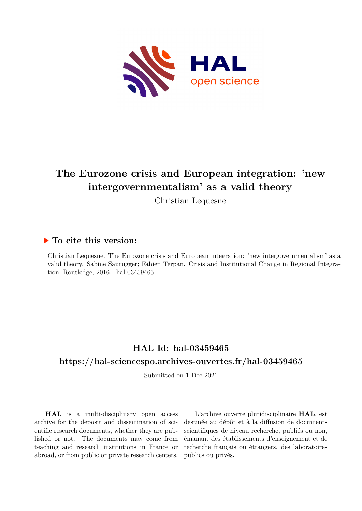

# **The Eurozone crisis and European integration: 'new intergovernmentalism' as a valid theory**

Christian Lequesne

# **To cite this version:**

Christian Lequesne. The Eurozone crisis and European integration: 'new intergovernmentalism' as a valid theory. Sabine Saurugger; Fabien Terpan. Crisis and Institutional Change in Regional Integration, Routledge,  $2016.$  hal- $03459465$ 

# **HAL Id: hal-03459465 <https://hal-sciencespo.archives-ouvertes.fr/hal-03459465>**

Submitted on 1 Dec 2021

**HAL** is a multi-disciplinary open access archive for the deposit and dissemination of scientific research documents, whether they are published or not. The documents may come from teaching and research institutions in France or abroad, or from public or private research centers.

L'archive ouverte pluridisciplinaire **HAL**, est destinée au dépôt et à la diffusion de documents scientifiques de niveau recherche, publiés ou non, émanant des établissements d'enseignement et de recherche français ou étrangers, des laboratoires publics ou privés.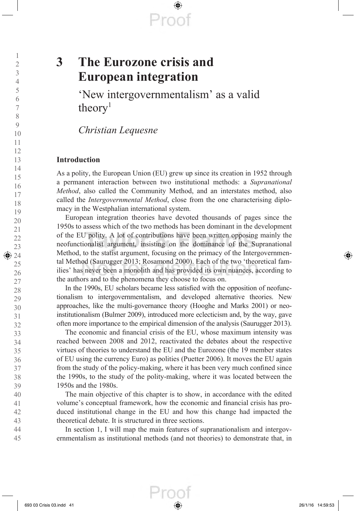$\bigoplus$ Proof

# **3 The Eurozone crisis and European integration**

'New intergovernmentalism' as a valid theory<sup>1</sup>

*Christian Lequesne*

# **Introduction**

As a polity, the European Union (EU) grew up since its creation in 1952 through a permanent interaction between two institutional methods: a *Supranational Method*, also called the Community Method, and an interstates method, also called the *Intergovernmental Method*, close from the one characterising diplomacy in the Westphalian international system.

European integration theories have devoted thousands of pages since the 1950s to assess which of the two methods has been dominant in the development of the EU polity. A lot of contributions have been written opposing mainly the neofunctionalist argument, insisting on the dominance of the Supranational Method, to the statist argument, focusing on the primacy of the Intergovernmental Method (Saurugger 2013; Rosamond 2000). Each of the two 'theoretical families' has never been a monolith and has provided its own nuances, according to the authors and to the phenomena they choose to focus on.

 In the 1990s, EU scholars became less satisfied with the opposition of neofunctionalism to intergovernmentalism, and developed alternative theories. New approaches, like the multi-governance theory (Hooghe and Marks 2001) or neoinstitutionalism (Bulmer 2009), introduced more eclecticism and, by the way, gave often more importance to the empirical dimension of the analysis (Saurugger 2013).

 The economic and financial crisis of the EU, whose maximum intensity was reached between 2008 and 2012, reactivated the debates about the respective virtues of theories to understand the EU and the Eurozone (the 19 member states of EU using the currency Euro) as polities (Puetter 2006). It moves the EU again from the study of the policy-making, where it has been very much confined since the 1990s, to the study of the polity-making, where it was located between the 1950s and the 1980s.

The main objective of this chapter is to show, in accordance with the edited volume's conceptual framework, how the economic and financial crisis has produced institutional change in the EU and how this change had impacted the theoretical debate. It is structured in three sections.

In section 1, I will map the main features of supranationalism and intergovernmentalism as institutional methods (and not theories) to demonstrate that, in

Proot

⊕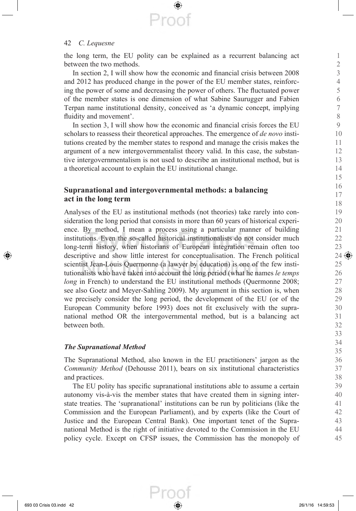the long term, the EU polity can be explained as a recurrent balancing act between the two methods.

 $\bigoplus$ 

Proof

 In section 2, I will show how the economic and financial crisis between 2008 and 2012 has produced change in the power of the EU member states, reinforcing the power of some and decreasing the power of others. The fluctuated power of the member states is one dimension of what Sabine Saurugger and Fabien Terpan name institutional density, conceived as 'a dynamic concept, implying fluidity and movement'.

 In section 3, I will show how the economic and financial crisis forces the EU scholars to reassess their theoretical approaches. The emergence of *de novo* institutions created by the member states to respond and manage the crisis makes the argument of a new intergovernmentalist theory valid. In this case, the substantive intergovernmentalism is not used to describe an institutional method, but is a theoretical account to explain the EU institutional change.

# **Supranational and intergovernmental methods: a balancing act in the long term**

Analyses of the EU as institutional methods (not theories) take rarely into consideration the long period that consists in more than 60 years of historical experience. By method, I mean a process using a particular manner of building institutions. Even the so-called historical institutionalists do not consider much long-term history, when historians of European integration remain often too descriptive and show little interest for conceptualisation. The French political scientist Jean-Louis Quermonne (a lawyer by education) is one of the few institutionalists who have taken into account the long period (what he names *le temps long* in French) to understand the EU institutional methods (Quermonne 2008; see also Goetz and Meyer-Sahling 2009). My argument in this section is, when we precisely consider the long period, the development of the EU (or of the European Community before 1993) does not fit exclusively with the supranational method OR the intergovernmental method, but is a balancing act between both.

#### *The Supranational Method*

The Supranational Method, also known in the EU practitioners' jargon as the *Community Method* (Dehousse 2011), bears on six institutional characteristics and practices.

 The EU polity has specific supranational institutions able to assume a certain autonomy vis-à-vis the member states that have created them in signing interstate treaties. The 'supranational' institutions can be run by politicians (like the Commission and the European Parliament), and by experts (like the Court of Justice and the European Central Bank). One important tenet of the Supranational Method is the right of initiative devoted to the Commission in the EU policy cycle. Except on CFSP issues, the Commission has the monopoly of

Proot

⊕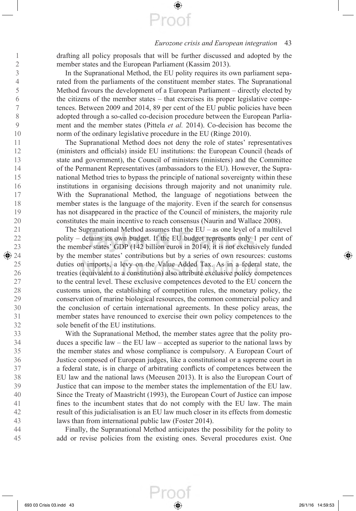drafting all policy proposals that will be further discussed and adopted by the member states and the European Parliament (Kassim 2013).

 $\bigoplus$ 

Proof

In the Supranational Method, the EU polity requires its own parliament separated from the parliaments of the constituent member states. The Supranational Method favours the development of a European Parliament – directly elected by the citizens of the member states – that exercises its proper legislative competences. Between 2009 and 2014, 89 per cent of the EU public policies have been adopted through a so-called co-decision procedure between the European Parliament and the member states (Pittela *et al.* 2014). Co-decision has become the norm of the ordinary legislative procedure in the EU (Ringe 2010).

The Supranational Method does not deny the role of states' representatives (ministers and officials) inside EU institutions: the European Council (heads of state and government), the Council of ministers (ministers) and the Committee of the Permanent Representatives (ambassadors to the EU). However, the Supranational Method tries to bypass the principle of national sovereignty within these institutions in organising decisions through majority and not unanimity rule. With the Supranational Method, the language of negotiations between the member states is the language of the majority. Even if the search for consensus has not disappeared in the practice of the Council of ministers, the majority rule constitutes the main incentive to reach consensus (Naurin and Wallace 2008).

The Supranational Method assumes that the  $EU -$  as one level of a multilevel polity – detains its own budget. If the EU budget represents only 1 per cent of the member states' GDP (142 billion euros in 2014), it is not exclusively funded by the member states' contributions but by a series of own resources: customs duties on imports, a levy on the Value Added Tax. As in a federal state, the treaties (equivalent to a constitution) also attribute exclusive policy competences to the central level. These exclusive competences devoted to the EU concern the customs union, the establishing of competition rules, the monetary policy, the conservation of marine biological resources, the common commercial policy and the conclusion of certain international agreements. In these policy areas, the member states have renounced to exercise their own policy competences to the sole benefit of the EU institutions.

With the Supranational Method, the member states agree that the polity produces a specific law – the EU law – accepted as superior to the national laws by the member states and whose compliance is compulsory. A European Court of Justice composed of European judges, like a constitutional or a supreme court in a federal state, is in charge of arbitrating conflicts of competences between the EU law and the national laws (Meeusen 2013). It is also the European Court of Justice that can impose to the member states the implementation of the EU law. Since the Treaty of Maastricht (1993), the European Court of Justice can impose fines to the incumbent states that do not comply with the EU law. The main result of this judicialisation is an EU law much closer in its effects from domestic laws than from international public law (Foster 2014).

Finally, the Supranational Method anticipates the possibility for the polity to add or revise policies from the existing ones. Several procedures exist. One

Proof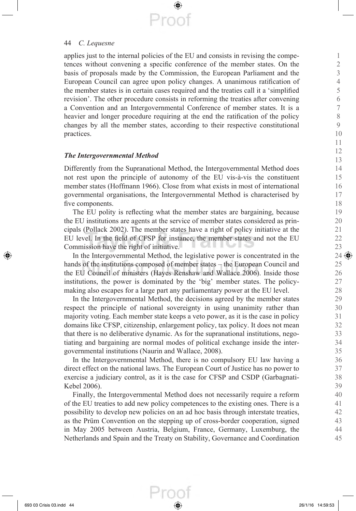

applies just to the internal policies of the EU and consists in revising the competences without convening a specific conference of the member states. On the basis of proposals made by the Commission, the European Parliament and the European Council can agree upon policy changes. A unanimous ratification of the member states is in certain cases required and the treaties call it a 'simplified revision'. The other procedure consists in reforming the treaties after convening a Convention and an Intergovernmental Conference of member states. It is a heavier and longer procedure requiring at the end the ratification of the policy changes by all the member states, according to their respective constitutional practices.

## *The Intergovernmental Method*

Differently from the Supranational Method, the Intergovernmental Method does not rest upon the principle of autonomy of the EU vis-à-vis the constituent member states (Hoffmann 1966). Close from what exists in most of international governmental organisations, the Intergovernmental Method is characterised by five components.

 The EU polity is reflecting what the member states are bargaining, because the EU institutions are agents at the service of member states considered as principals (Pollack 2002). The member states have a right of policy initiative at the EU level. In the field of CFSP for instance, the member states and not the EU Commission have the right of initiative.

In the Intergovernmental Method, the legislative power is concentrated in the hands of the institutions composed of member states – the European Council and the EU Council of ministers (Hayes Renshaw and Wallace 2006). Inside those institutions, the power is dominated by the 'big' member states. The policymaking also escapes for a large part any parliamentary power at the EU level.

In the Intergovernmental Method, the decisions agreed by the member states respect the principle of national sovereignty in using unanimity rather than majority voting. Each member state keeps a veto power, as it is the case in policy domains like CFSP, citizenship, enlargement policy, tax policy. It does not mean that there is no deliberative dynamic. As for the supranational institutions, negotiating and bargaining are normal modes of political exchange inside the intergovernmental institutions (Naurin and Wallace, 2008).

In the Intergovernmental Method, there is no compulsory EU law having a direct effect on the national laws. The European Court of Justice has no power to exercise a judiciary control, as it is the case for CFSP and CSDP (Garbagnati-Kebel 2006).

Finally, the Intergovernmental Method does not necessarily require a reform of the EU treaties to add new policy competences to the existing ones. There is a possibility to develop new policies on an ad hoc basis through interstate treaties, as the Prüm Convention on the stepping up of cross-border cooperation, signed in May 2005 between Austria, Belgium, France, Germany, Luxemburg, the Netherlands and Spain and the Treaty on Stability, Governance and Coordination

'roof

⊕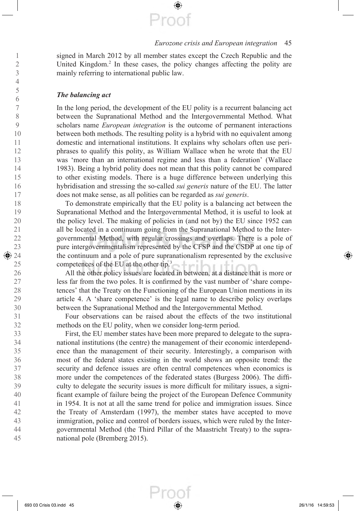signed in March 2012 by all member states except the Czech Republic and the United Kingdom.<sup>2</sup> In these cases, the policy changes affecting the polity are mainly referring to international public law.

 $\bigoplus$ 

Proof

#### *The balancing act*

In the long period, the development of the EU polity is a recurrent balancing act between the Supranational Method and the Intergovernmental Method. What scholars name *European integration* is the outcome of permanent interactions between both methods. The resulting polity is a hybrid with no equivalent among domestic and international institutions. It explains why scholars often use periphrases to qualify this polity, as William Wallace when he wrote that the EU was 'more than an international regime and less than a federation' (Wallace 1983). Being a hybrid polity does not mean that this polity cannot be compared to other existing models. There is a huge difference between underlying this hybridisation and stressing the so-called *sui generis* nature of the EU. The latter does not make sense, as all polities can be regarded as *sui generis*.

To demonstrate empirically that the EU polity is a balancing act between the Supranational Method and the Intergovernmental Method, it is useful to look at the policy level. The making of policies in (and not by) the EU since 1952 can all be located in a continuum going from the Supranational Method to the Intergovernmental Method, with regular crossings and overlaps. There is a pole of pure intergovernmentalism represented by the CFSP and the CSDP at one tip of the continuum and a pole of pure supranationalism represented by the exclusive competences of the EU at the other tip.<sup>3</sup>

All the other policy issues are located in between, at a distance that is more or less far from the two poles. It is confirmed by the vast number of 'share competences' that the Treaty on the Functioning of the European Union mentions in its article 4. A 'share competence' is the legal name to describe policy overlaps between the Supranational Method and the Intergovernmental Method.

Four observations can be raised about the effects of the two institutional methods on the EU polity, when we consider long-term period.

First, the EU member states have been more prepared to delegate to the supranational institutions (the centre) the management of their economic interdependence than the management of their security. Interestingly, a comparison with most of the federal states existing in the world shows an opposite trend: the security and defence issues are often central competences when economics is more under the competences of the federated states (Burgess 2006). The difficulty to delegate the security issues is more difficult for military issues, a significant example of failure being the project of the European Defence Community in 1954. It is not at all the same trend for police and immigration issues. Since the Treaty of Amsterdam (1997), the member states have accepted to move immigration, police and control of borders issues, which were ruled by the Intergovernmental Method (the Third Pillar of the Maastricht Treaty) to the supranational pole (Bremberg 2015).

Proot

⊕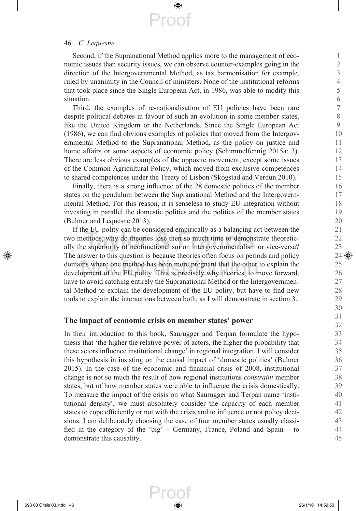Second, if the Supranational Method applies more to the management of economic issues than security issues, we can observe counter-examples going in the direction of the Intergovernmental Method, as tax harmonisation for example, ruled by unanimity in the Council of ministers. None of the institutional reforms that took place since the Single European Act, in 1986, was able to modify this situation.

 $\bigoplus$ 

Proof

 Third, the examples of re-nationalisation of EU policies have been rare despite political debates in favour of such an evolution in some member states, like the United Kingdom or the Netherlands. Since the Single European Act (1986), we can find obvious examples of policies that moved from the Intergovernmental Method to the Supranational Method, as the policy on justice and home affairs or some aspects of economic policy (Schimmelfennig 2015a: 3). There are less obvious examples of the opposite movement, except some issues of the Common Agricultural Policy, which moved from exclusive competences to shared competences under the Treaty of Lisbon (Skogstad and Verdun 2010).

 Finally, there is a strong influence of the 28 domestic politics of the member states on the pendulum between the Supranational Method and the Intergovernmental Method. For this reason, it is senseless to study EU integration without investing in parallel the domestic politics and the polities of the member states (Bulmer and Lequesne 2013).

If the EU polity can be considered empirically as a balancing act between the two methods, why do theories lose then so much time to demonstrate theoretically the superiority of neofunctionalism on intergovernmentalism or vice-versa? The answer to this question is because theories often focus on periods and policy domains where one method has been more pregnant that the other to explain the development of the EU polity. This is precisely why theories, to move forward, have to avoid catching entirely the Supranational Method or the Intergovernmental Method to explain the development of the EU polity, but have to find new tools to explain the interactions between both, as I will demonstrate in section 3.

# **The impact of economic crisis on member states' power**

In their introduction to this book, Saurugger and Terpan formulate the hypothesis that 'the higher the relative power of actors, the higher the probability that these actors influence institutional change' in regional integration. I will consider this hypothesis in insisting on the causal impact of 'domestic politics' (Bulmer 2015). In the case of the economic and financial crisis of 2008, institutional change is not so much the result of how regional institutions *constraint* member states, but of how member states were able to influence the crisis domestically. To measure the impact of the crisis on what Saurugger and Terpan name 'institutional density', we must absolutely consider the capacity of each member states to cope efficiently or not with the crisis and to influence or not policy decisions. I am deliberately choosing the case of four member states usually classified in the category of the 'big' – Germany, France, Poland and Spain – to demonstrate this causality.

Proot

⊕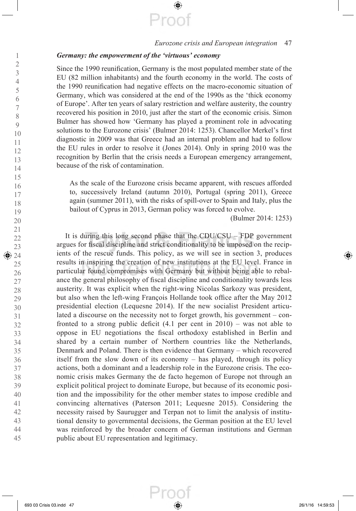$\bigoplus$ Proof

# *Germany: the empowerment of the 'virtuous' economy*

Since the 1990 reunification, Germany is the most populated member state of the EU (82 million inhabitants) and the fourth economy in the world. The costs of the 1990 reunification had negative effects on the macro-economic situation of Germany, which was considered at the end of the 1990s as the 'thick economy of Europe'. After ten years of salary restriction and welfare austerity, the country recovered his position in 2010, just after the start of the economic crisis. Simon Bulmer has showed how 'Germany has played a prominent role in advocating solutions to the Eurozone crisis' (Bulmer 2014: 1253). Chancellor Merkel's first diagnostic in 2009 was that Greece had an internal problem and had to follow the EU rules in order to resolve it (Jones 2014). Only in spring 2010 was the recognition by Berlin that the crisis needs a European emergency arrangement, because of the risk of contamination.

As the scale of the Eurozone crisis became apparent, with rescues afforded to, successively Ireland (autumn 2010), Portugal (spring 2011), Greece again (summer 2011), with the risks of spill-over to Spain and Italy, plus the bailout of Cyprus in 2013, German policy was forced to evolve.

(Bulmer 2014: 1253)

It is during this long second phase that the CDU/CSU – FDP government argues for fiscal discipline and strict conditionality to be imposed on the recipients of the rescue funds. This policy, as we will see in section 3, produces results in inspiring the creation of new institutions at the EU level. France in particular found compromises with Germany but without being able to rebalance the general philosophy of fiscal discipline and conditionality towards less austerity. It was explicit when the right-wing Nicolas Sarkozy was president, but also when the left-wing François Hollande took office after the May 2012 presidential election (Lequesne 2014). If the new socialist President articulated a discourse on the necessity not to forget growth, his government – confronted to a strong public deficit (4.1 per cent in 2010) – was not able to oppose in EU negotiations the fiscal orthodoxy established in Berlin and shared by a certain number of Northern countries like the Netherlands, Denmark and Poland. There is then evidence that Germany – which recovered itself from the slow down of its economy – has played, through its policy actions, both a dominant and a leadership role in the Eurozone crisis. The economic crisis makes Germany the de facto hegemon of Europe not through an explicit political project to dominate Europe, but because of its economic position and the impossibility for the other member states to impose credible and convincing alternatives (Paterson 2011; Lequesne 2015). Considering the necessity raised by Saurugger and Terpan not to limit the analysis of institutional density to governmental decisions, the German position at the EU level was reinforced by the broader concern of German institutions and German public about EU representation and legitimacy.

Proof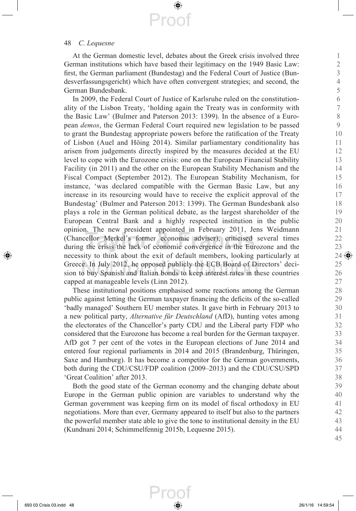At the German domestic level, debates about the Greek crisis involved three German institutions which have based their legitimacy on the 1949 Basic Law: first, the German parliament (Bundestag) and the Federal Court of Justice (Bundesverfassungsgericht) which have often convergent strategies; and second, the German Bundesbank.

 $\bigoplus$ 

Proof

In 2009, the Federal Court of Justice of Karlsruhe ruled on the constitutionality of the Lisbon Treaty, 'holding again the Treaty was in conformity with the Basic Law' (Bulmer and Paterson 2013: 1399). In the absence of a European *demos*, the German Federal Court required new legislation to be passed to grant the Bundestag appropriate powers before the ratification of the Treaty of Lisbon (Auel and Höing 2014). Similar parliamentary conditionality has arisen from judgements directly inspired by the measures decided at the EU level to cope with the Eurozone crisis: one on the European Financial Stability Facility (in 2011) and the other on the European Stability Mechanism and the Fiscal Compact (September 2012). The European Stability Mechanism, for instance, 'was declared compatible with the German Basic Law, but any increase in its resourcing would have to receive the explicit approval of the Bundestag' (Bulmer and Paterson 2013: 1399). The German Bundesbank also plays a role in the German political debate, as the largest shareholder of the European Central Bank and a highly respected institution in the public opinion. The new president appointed in February 2011, Jens Weidmann (Chancellor Merkel's former economic adviser), criticised several times during the crisis the lack of economic convergence in the Eurozone and the necessity to think about the exit of default members, looking particularly at Greece. In July 2012, he opposed publicly the ECB Board of Directors' decision to buy Spanish and Italian bonds to keep interest rates in these countries capped at manageable levels (Linn 2012).

These institutional positions emphasised some reactions among the German public against letting the German taxpayer financing the deficits of the so-called 'badly managed' Southern EU member states. It gave birth in February 2013 to a new political party, *Alternative für Deutschland* (AfD), hunting votes among the electorates of the Chancellor's party CDU and the Liberal party FDP who considered that the Eurozone has become a real burden for the German taxpayer. AfD got 7 per cent of the votes in the European elections of June 2014 and entered four regional parliaments in 2014 and 2015 (Brandenburg, Thüringen, Saxe and Hamburg). It has become a competitor for the German governments, both during the CDU/CSU/FDP coalition (2009–2013) and the CDU/CSU/SPD 'Great Coalition' after 2013.

Both the good state of the German economy and the changing debate about Europe in the German public opinion are variables to understand why the German government was keeping firm on its model of fiscal orthodoxy in EU negotiations. More than ever, Germany appeared to itself but also to the partners the powerful member state able to give the tone to institutional density in the EU (Kundnani 2014; Schimmelfennig 2015b, Lequesne 2015).

Proot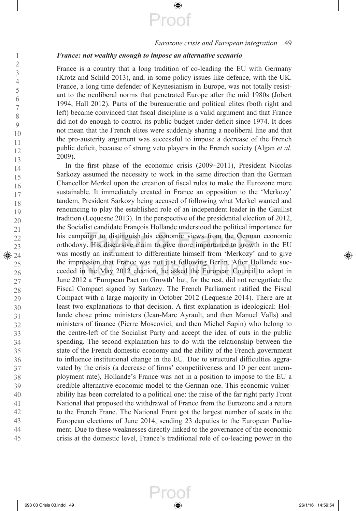$\bigoplus$ Proof

#### *France: not wealthy enough to impose an alternative scenario*

France is a country that a long tradition of co-leading the EU with Germany (Krotz and Schild 2013), and, in some policy issues like defence, with the UK. France, a long time defender of Keynesianism in Europe, was not totally resistant to the neoliberal norms that penetrated Europe after the mid 1980s (Jobert 1994, Hall 2012). Parts of the bureaucratic and political elites (both right and left) became convinced that fiscal discipline is a valid argument and that France did not do enough to control its public budget under deficit since 1974. It does not mean that the French elites were suddenly sharing a neoliberal line and that the pro-austerity argument was successful to impose a decrease of the French public deficit, because of strong veto players in the French society (Algan *et al.* 2009).

 In the first phase of the economic crisis (2009–2011), President Nicolas Sarkozy assumed the necessity to work in the same direction than the German Chancellor Merkel upon the creation of fiscal rules to make the Eurozone more sustainable. It immediately created in France an opposition to the 'Merkozy' tandem, President Sarkozy being accused of following what Merkel wanted and renouncing to play the established role of an independent leader in the Gaullist tradition (Lequesne 2013). In the perspective of the presidential election of 2012, the Socialist candidate François Hollande understood the political importance for his campaign to distinguish his economic views from the German economic orthodoxy. His discursive claim to give more importance to growth in the EU was mostly an instrument to differentiate himself from 'Merkozy' and to give the impression that France was not just following Berlin. After Hollande succeeded in the May 2012 election, he asked the European Council to adopt in June 2012 a 'European Pact on Growth' but, for the rest, did not renegotiate the Fiscal Compact signed by Sarkozy. The French Parliament ratified the Fiscal Compact with a large majority in October 2012 (Lequesne 2014). There are at least two explanations to that decision. A first explanation is ideological: Hollande chose prime ministers (Jean-Marc Ayrault, and then Manuel Valls) and ministers of finance (Pierre Moscovici, and then Michel Sapin) who belong to the centre-left of the Socialist Party and accept the idea of cuts in the public spending. The second explanation has to do with the relationship between the state of the French domestic economy and the ability of the French government to influence institutional change in the EU. Due to structural difficulties aggravated by the crisis (a decrease of firms' competitiveness and 10 per cent unemployment rate), Hollande's France was not in a position to impose to the EU a credible alternative economic model to the German one. This economic vulnerability has been correlated to a political one: the raise of the far right party Front National that proposed the withdrawal of France from the Eurozone and a return to the French Franc. The National Front got the largest number of seats in the European elections of June 2014, sending 23 deputies to the European Parliament. Due to these weaknesses directly linked to the governance of the economic crisis at the domestic level, France's traditional role of co-leading power in the

Proof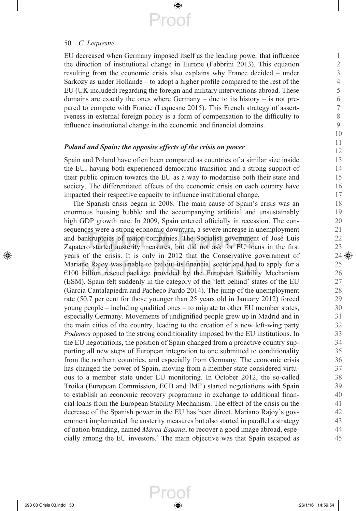

EU decreased when Germany imposed itself as the leading power that influence the direction of institutional change in Europe (Fabbrini 2013). This equation resulting from the economic crisis also explains why France decided – under Sarkozy as under Hollande – to adopt a higher profile compared to the rest of the EU (UK included) regarding the foreign and military interventions abroad. These domains are exactly the ones where Germany – due to its history – is not prepared to compete with France (Lequesne 2015). This French strategy of assertiveness in external foreign policy is a form of compensation to the difficulty to influence institutional change in the economic and financial domains.

#### *Poland and Spain: the opposite effects of the crisis on power*

Spain and Poland have often been compared as countries of a similar size inside the EU, having both experienced democratic transition and a strong support of their public opinion towards the EU as a way to modernise both their state and society. The differentiated effects of the economic crisis on each country have impacted their respective capacity to influence institutional change.

The Spanish crisis began in 2008. The main cause of Spain's crisis was an enormous housing bubble and the accompanying artificial and unsustainably high GDP growth rate. In 2009, Spain entered officially in recession. The consequences were a strong economic downturn, a severe increase in unemployment and bankruptcies of major companies. The Socialist government of José Luis Zapatero started austerity measures, but did not ask for EU loans in the first years of the crisis. It is only in 2012 that the Conservative government of Mariano Rajoy was unable to bailout its financial sector and had to apply for a €100 billion rescue package provided by the European Stability Mechanism (ESM). Spain felt suddenly in the category of the 'left behind' states of the EU (Garcia Cantalapiedra and Pacheco Pardo 2014). The jump of the unemployment rate (50.7 per cent for those younger than 25 years old in January 2012) forced young people – including qualified ones – to migrate to other EU member states, especially Germany. Movements of undignified people grew up in Madrid and in the main cities of the country, leading to the creation of a new left-wing party *Podemos* opposed to the strong conditionality imposed by the EU institutions. In the EU negotiations, the position of Spain changed from a proactive country supporting all new steps of European integration to one submitted to conditionality from the northern countries, and especially from Germany. The economic crisis has changed the power of Spain, moving from a member state considered virtuous to a member state under EU monitoring. In October 2012, the so-called Troika (European Commission, ECB and IMF) started negotiations with Spain to establish an economic recovery programme in exchange to additional financial loans from the European Stability Mechanism. The effect of the crisis on the decrease of the Spanish power in the EU has been direct. Mariano Rajoy's government implemented the austerity measures but also started in parallel a strategy of nation branding, named *Marca Espana*, to recover a good image abroad, especially among the EU investors.<sup>4</sup> The main objective was that Spain escaped as

Proot

⊕

23 24 $\bigoplus$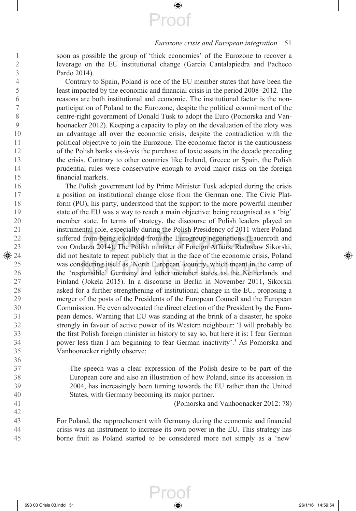soon as possible the group of 'thick economies' of the Eurozone to recover a leverage on the EU institutional change (Garcia Cantalapiedra and Pacheco Pardo 2014).

 $\bigoplus$ 

Proof

Contrary to Spain, Poland is one of the EU member states that have been the least impacted by the economic and financial crisis in the period 2008–2012. The reasons are both institutional and economic. The institutional factor is the nonparticipation of Poland to the Eurozone, despite the political commitment of the centre-right government of Donald Tusk to adopt the Euro (Pomorska and Vanhoonacker 2012). Keeping a capacity to play on the devaluation of the zloty was an advantage all over the economic crisis, despite the contradiction with the political objective to join the Eurozone. The economic factor is the cautiousness of the Polish banks vis-à-vis the purchase of toxic assets in the decade preceding the crisis. Contrary to other countries like Ireland, Greece or Spain, the Polish prudential rules were conservative enough to avoid major risks on the foreign financial markets.

The Polish government led by Prime Minister Tusk adopted during the crisis a position on institutional change close from the German one. The Civic Platform (PO), his party, understood that the support to the more powerful member state of the EU was a way to reach a main objective: being recognised as a 'big' member state. In terms of strategy, the discourse of Polish leaders played an instrumental role, especially during the Polish Presidency of 2011 where Poland suffered from being excluded from the Eurogroup negotiations (Lauenroth and von Ondarza 2014). The Polish minister of Foreign Affairs, Radoslaw Sikorski, did not hesitate to repeat publicly that in the face of the economic crisis, Poland was considering itself as 'North European' country, which meant in the camp of the 'responsible' Germany and other member states as the Netherlands and Finland (Jokela 2015). In a discourse in Berlin in November 2011, Sikorski asked for a further strengthening of institutional change in the EU, proposing a merger of the posts of the Presidents of the European Council and the European Commission. He even advocated the direct election of the President by the European demos. Warning that EU was standing at the brink of a disaster, he spoke strongly in favour of active power of its Western neighbour: 'I will probably be the first Polish foreign minister in history to say so, but here it is: I fear German power less than I am beginning to fear German inactivity'.<sup>5</sup> As Pomorska and Vanhoonacker rightly observe:

The speech was a clear expression of the Polish desire to be part of the European core and also an illustration of how Poland, since its accession in 2004, has increasingly been turning towards the EU rather than the United States, with Germany becoming its major partner.

(Pomorska and Vanhoonacker 2012: 78)

For Poland, the rapprochement with Germany during the economic and financial crisis was an instrument to increase its own power in the EU. This strategy has borne fruit as Poland started to be considered more not simply as a 'new'

Proot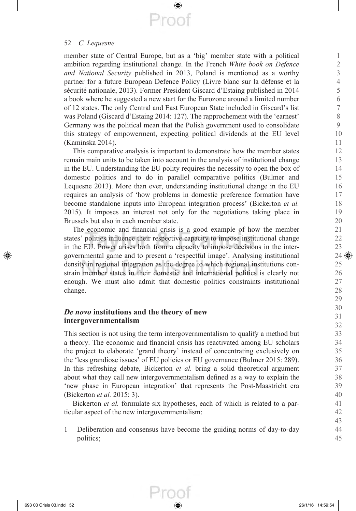

member state of Central Europe, but as a 'big' member state with a political ambition regarding institutional change. In the French *White book on Defence and National Security* published in 2013, Poland is mentioned as a worthy partner for a future European Defence Policy (Livre blanc sur la défense et la sécurité nationale, 2013). Former President Giscard d'Estaing published in 2014 a book where he suggested a new start for the Eurozone around a limited number of 12 states. The only Central and East European State included in Giscard's list was Poland (Giscard d'Estaing 2014: 127). The rapprochement with the 'earnest' Germany was the political mean that the Polish government used to consolidate this strategy of empowerment, expecting political dividends at the EU level (Kaminska 2014).

This comparative analysis is important to demonstrate how the member states remain main units to be taken into account in the analysis of institutional change in the EU. Understanding the EU polity requires the necessity to open the box of domestic politics and to do in parallel comparative politics (Bulmer and Lequesne 2013). More than ever, understanding institutional change in the EU requires an analysis of 'how problems in domestic preference formation have become standalone inputs into European integration process' (Bickerton *et al.* 2015). It imposes an interest not only for the negotiations taking place in Brussels but also in each member state.

 The economic and financial crisis is a good example of how the member states' polities influence their respective capacity to impose institutional change in the EU. Power arises both from a capacity to impose decisions in the intergovernmental game and to present a 'respectful image'. Analysing institutional density in regional integration as the degree to which regional institutions constrain member states in their domestic and international politics is clearly not enough. We must also admit that domestic politics constraints institutional change.

# *De novo* **institutions and the theory of new intergovernmentalism**

This section is not using the term intergovernmentalism to qualify a method but a theory. The economic and financial crisis has reactivated among EU scholars the project to elaborate 'grand theory' instead of concentrating exclusively on the 'less grandiose issues' of EU policies or EU governance (Bulmer 2015: 289). In this refreshing debate, Bickerton *et al.* bring a solid theoretical argument about what they call new intergovernmentalism defined as a way to explain the 'new phase in European integration' that represents the Post-Maastricht era (Bickerton *et al.* 2015: 3).

Bickerton *et al.* formulate six hypotheses, each of which is related to a particular aspect of the new intergovernmentalism:

1 Deliberation and consensus have become the guiding norms of day-to-day politics;

Proot

⊕

23 24 $\bigoplus$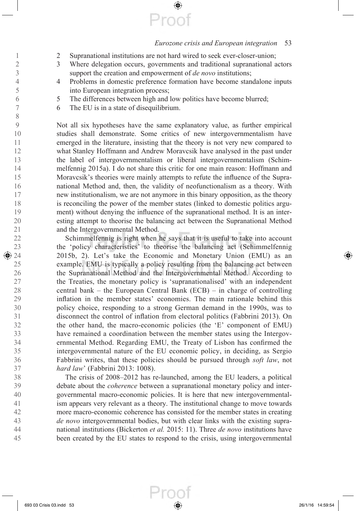- 2 Supranational institutions are not hard wired to seek ever-closer-union;
- 3 Where delegation occurs, governments and traditional supranational actors support the creation and empowerment of *de novo* institutions;

 $\bigoplus$ 

Proof

- 4 Problems in domestic preference formation have become standalone inputs into European integration process;
- 5 The differences between high and low politics have become blurred;
- 6 The EU is in a state of disequilibrium.

Not all six hypotheses have the same explanatory value, as further empirical studies shall demonstrate. Some critics of new intergovernmentalism have emerged in the literature, insisting that the theory is not very new compared to what Stanley Hoffmann and Andrew Moravcsik have analysed in the past under the label of intergovernmentalism or liberal intergovernmentalism (Schimmelfennig 2015a). I do not share this critic for one main reason: Hoffmann and Moravcsik's theories were mainly attempts to refute the influence of the Supranational Method and, then, the validity of neofunctionalism as a theory. With new institutionalism, we are not anymore in this binary opposition, as the theory is reconciling the power of the member states (linked to domestic politics argument) without denying the influence of the supranational method. It is an interesting attempt to theorise the balancing act between the Supranational Method and the Intergovernmental Method.

Schimmelfennig is right when he says that it is useful to take into account the 'policy characteristics' to theorise the balancing act (Schimmelfennig 2015b, 2). Let's take the Economic and Monetary Union (EMU) as an example. EMU is typically a policy resulting from the balancing act between the Supranational Method and the Intergovernmental Method. According to the Treaties, the monetary policy is 'supranationalised' with an independent central bank – the European Central Bank (ECB) – in charge of controlling inflation in the member states' economies. The main rationale behind this policy choice, responding to a strong German demand in the 1990s, was to disconnect the control of inflation from electoral politics (Fabbrini 2013). On the other hand, the macro-economic policies (the 'E' component of EMU) have remained a coordination between the member states using the Intergovernmental Method. Regarding EMU, the Treaty of Lisbon has confirmed the intergovernmental nature of the EU economic policy, in deciding, as Sergio Fabbrini writes, that these policies should be pursued through *soft law*, not *hard law*' (Fabbrini 2013: 1008).

The crisis of 2008–2012 has re-launched, among the EU leaders, a political debate about the *coherence* between a supranational monetary policy and intergovernmental macro-economic policies. It is here that new intergovernmentalism appears very relevant as a theory. The institutional change to move towards more macro-economic coherence has consisted for the member states in creating *de novo* intergovernmental bodies, but with clear links with the existing supranational institutions (Bickerton *et al.* 2015: 11). Three *de novo* institutions have been created by the EU states to respond to the crisis, using intergovernmental

Proof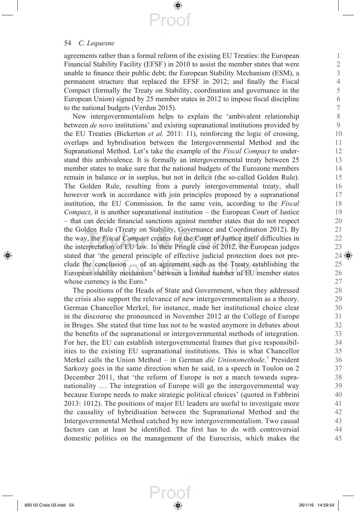agreements rather than a formal reform of the existing EU Treaties: the European Financial Stability Facility (EFSF) in 2010 to assist the member states that were unable to finance their public debt; the European Stability Mechanism (ESM), a permanent structure that replaced the EFSF in 2012; and finally the Fiscal Compact (formally the Treaty on Stability, coordination and governance in the European Union) signed by 25 member states in 2012 to impose fiscal discipline to the national budgets (Verdun 2015).

 $\bigoplus$ 

Proof

 New intergovernmentalism helps to explain the 'ambivalent relationship between *de novo* institutions' and existing supranational institutions provided by the EU Treaties (Bickerton *et al.* 2011: 11), reinforcing the logic of crossing, overlaps and hybridisation between the Intergovernmental Method and the Supranational Method. Let's take the example of the *Fiscal Compact* to understand this ambivalence. It is formally an intergovernmental treaty between 25 member states to make sure that the national budgets of the Eurozone members remain in balance or in surplus, but not in deficit (the so-called Golden Rule). The Golden Rule, resulting from a purely intergovernmental treaty, shall however work in accordance with join principles proposed by a supranational institution, the EU Commission. In the same vein, according to the *Fiscal Compact*, it is another supranational institution – the European Court of Justice – that can decide financial sanctions against member states that do not respect the Golden Rule (Treaty on Stability, Governance and Coordination 2012). By the way, the *Fiscal Compact* creates for the Court of Justice itself difficulties in the interpretation of EU law. In their Pringle case of 2012, the European judges stated that 'the general principle of effective judicial protection does not preclude the conclusion ... of an agreement such as the Treaty establishing the European stability mechanism' between a limited number of EU member states whose currency is the Euro.<sup>6</sup>

The positions of the Heads of State and Government, when they addressed the crisis also support the relevance of new intergovernmentalism as a theory. German Chancellor Merkel, for instance, made her institutional choice clear in the discourse she pronounced in November 2012 at the College of Europe in Bruges. She stated that time has not to be wasted anymore in debates about the benefits of the supranational or intergovernmental methods of integration. For her, the EU can establish intergovernmental frames that give responsibilities to the existing EU supranational institutions. This is what Chancellor Merkel calls the Union Method – in German *die Unionsmethode*.<sup>7</sup> President Sarkozy goes in the same direction when he said, in a speech in Toulon on 2 December 2011, that 'the reform of Europe is not a march towards supranationality ... The integration of Europe will go the intergovernmental way because Europe needs to make strategic political choices' (quoted in Fabbrini 2013: 1012). The positions of major EU leaders are useful to investigate more the causality of hybridisation between the Supranational Method and the Intergovernmental Method catched by new intergovernmentalism. Two causal factors can at least be identified. The first has to do with controversial domestic politics on the management of the Eurocrisis, which makes the

Proot

⊕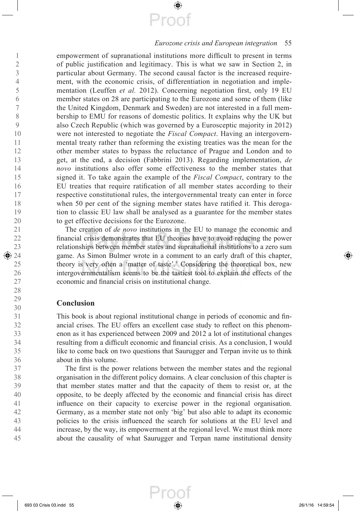empowerment of supranational institutions more difficult to present in terms of public justification and legitimacy. This is what we saw in Section 2, in particular about Germany. The second causal factor is the increased requirement, with the economic crisis, of differentiation in negotiation and implementation (Leuffen *et al.* 2012). Concerning negotiation first, only 19 EU member states on 28 are participating to the Eurozone and some of them (like the United Kingdom, Denmark and Sweden) are not interested in a full membership to EMU for reasons of domestic politics. It explains why the UK but also Czech Republic (which was governed by a Eurosceptic majority in 2012) were not interested to negotiate the *Fiscal Compact*. Having an intergovernmental treaty rather than reforming the existing treaties was the mean for the other member states to bypass the reluctance of Prague and London and to get, at the end, a decision (Fabbrini 2013). Regarding implementation, *de novo* institutions also offer some effectiveness to the member states that signed it. To take again the example of the *Fiscal Compact*, contrary to the EU treaties that require ratification of all member states according to their respective constitutional rules, the intergovernmental treaty can enter in force when 50 per cent of the signing member states have ratified it. This derogation to classic EU law shall be analysed as a guarantee for the member states to get effective decisions for the Eurozone.

 $\bigoplus$ 

Proof

The creation of *de novo* institutions in the EU to manage the economic and financial crisis demonstrates that EU theories have to avoid reducing the power relationships between member states and supranational institutions to a zero sum game. As Simon Bulmer wrote in a comment to an early draft of this chapter, theory is very often a 'matter of taste'.8 Considering the theoretical box, new intergovernmentalism seems to be the tastiest tool to explain the effects of the economic and financial crisis on institutional change.

# **Conclusion**

This book is about regional institutional change in periods of economic and financial crises. The EU offers an excellent case study to reflect on this phenomenon as it has experienced between 2009 and 2012 a lot of institutional changes resulting from a difficult economic and financial crisis. As a conclusion, I would like to come back on two questions that Saurugger and Terpan invite us to think about in this volume.

 The first is the power relations between the member states and the regional organisation in the different policy domains. A clear conclusion of this chapter is that member states matter and that the capacity of them to resist or, at the opposite, to be deeply affected by the economic and financial crisis has direct influence on their capacity to exercise power in the regional organisation. Germany, as a member state not only 'big' but also able to adapt its economic policies to the crisis influenced the search for solutions at the EU level and increase, by the way, its empowerment at the regional level. We must think more about the causality of what Saurugger and Terpan name institutional density

Proot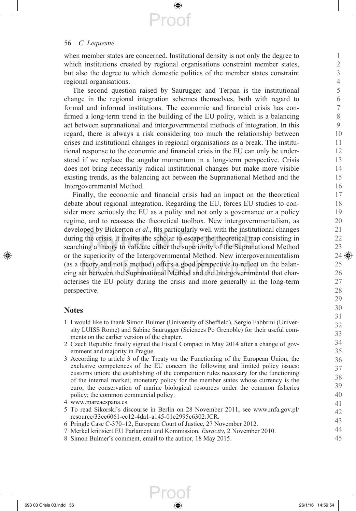when member states are concerned. Institutional density is not only the degree to which institutions created by regional organisations constraint member states, but also the degree to which domestic politics of the member states constraint regional organisations.

The second question raised by Saurugger and Terpan is the institutional change in the regional integration schemes themselves, both with regard to formal and informal institutions. The economic and financial crisis has confirmed a long-term trend in the building of the EU polity, which is a balancing act between supranational and intergovernmental methods of integration. In this regard, there is always a risk considering too much the relationship between crises and institutional changes in regional organisations as a break. The institutional response to the economic and financial crisis in the EU can only be understood if we replace the angular momentum in a long-term perspective. Crisis does not bring necessarily radical institutional changes but make more visible existing trends, as the balancing act between the Supranational Method and the Intergovernmental Method.

 Finally, the economic and financial crisis had an impact on the theoretical debate about regional integration. Regarding the EU, forces EU studies to consider more seriously the EU as a polity and not only a governance or a policy regime, and to reassess the theoretical toolbox. New intergovernmentalism, as developed by Bickerton *et al*., fits particularly well with the institutional changes during the crisis. It invites the scholar to escape the theoretical trap consisting in searching a theory to validate either the superiority of the Supranational Method or the superiority of the Intergovernmental Method. New intergovernmentalism (as a theory and not a method) offers a good perspective to reflect on the balancing act between the Supranational Method and the Intergovernmental that characterises the EU polity during the crisis and more generally in the long-term perspective.

# **Notes**

 $\langle \spadesuit \rangle$ 

- 1 I would like to thank Simon Bulmer (University of Sheffield), Sergio Fabbrini (University LUISS Rome) and Sabine Saurugger (Sciences Po Grenoble) for their useful comments on the earlier version of the chapter.
- 2 Czech Republic finally signed the Fiscal Compact in May 2014 after a change of government and majority in Prague.
- 3 According to article 3 of the Treaty on the Functioning of the European Union, the exclusive competences of the EU concern the following and limited policy issues: customs union; the establishing of the competition rules necessary for the functioning of the internal market; monetary policy for the member states whose currency is the euro; the conservation of marine biological resources under the common fisheries policy; the common commercial policy.
- 4 www.marcaespana.es.
- 5 To read Sikorski's discourse in Berlin on 28 November 2011, see www.mfa.gov.pl/ resource/33ce6061-ec12-4da1-a145-01e2995c6302:JCR.
- 6 Pringle Case C-370–12, European Court of Justice, 27 November 2012.
- 7 Merkel kritisiert EU Parlament und Kommission, *Euractiv*, 2 November 2010.

Proot

8 Simon Bulmer's comment, email to the author, 18 May 2015.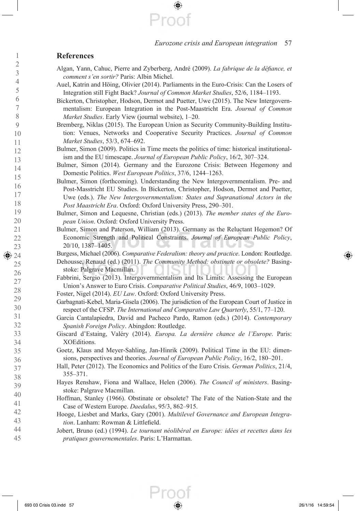#### **References**

Algan, Yann, Cahuc, Pierre and Zyberberg, André (2009). *La fabrique de la défiance, et comment s'en sortir?* Paris: Albin Michel.

 $\bigoplus$ 

Proof

- Auel, Katrin and Höing, Olivier (2014). Parliaments in the Euro-Crisis: Can the Losers of Integration still Fight Back? *Journal of Common Market Studies*, 52/6, 1184–1193.
- Bickerton, Christopher, Hodson, Dermot and Puetter, Uwe (2015). The New Intergovernmentalism: European Integration in the Post-Maastricht Era. *Journal of Common Market Studies*. Early View (journal website), 1–20.
- Bremberg, Niklas (2015). The European Union as Security Community-Building Institution: Venues, Networks and Cooperative Security Practices. *Journal of Common Market Studies*, 53/3, 674–692.
- Bulmer, Simon (2009). Politics in Time meets the politics of time: historical institutionalism and the EU timescape. *Journal of European Public Policy*, 16/2, 307–324.
- Bulmer, Simon (2014). Germany and the Eurozone Crisis: Between Hegemony and Domestic Politics. *West European Politics*, 37/6, 1244–1263.
- Bulmer, Simon (forthcoming). Understanding the New Intergovernmentalism. Pre- and Post-Masstricht EU Studies. In Bickerton, Christopher, Hodson, Dermot and Puetter, Uwe (eds.). *The New Intergovernmentalism: States and Supranational Actors in the Post Maastricht Era*. Oxford: Oxford University Press, 290–301.
- Bulmer, Simon and Lequesne, Christian (eds.) (2013). *The member states of the European Union*. Oxford: Oxford University Press.
- Bulmer, Simon and Paterson, William (2013). Germany as the Reluctant Hegemon? Of Economic Strength and Political Constraints. *Journal of European Public Policy*, 20/10, 1387–1405. P. U . . . . .
- Burgess, Michael (2006). *Comparative Federalism: theory and practice*. London: Routledge.
- Dehousse, Renaud (ed.) (2011). *The Community Method: obstinate or obsolete?* Basingstoke: Palgrave Macmillan.
- Fabbrini, Sergio (2013). Intergovernmentalism and Its Limits: Assessing the European Union's Answer to Euro Crisis. *Comparative Political Studies*, 46/9, 1003–1029.
- Foster, Nigel (2014). *EU Law*. Oxford: Oxford University Press.
- Garbagnati-Kebel, Maria-Gisela (2006). The jurisdiction of the European Court of Justice in respect of the CFSP. *The International and Comparative Law Quarterly*, 55/1, 77–120.
- Garcia Cantalapiedra, David and Pacheco Pardo, Ramon (eds.) (2014). *Contemporary Spanish Foreign Policy*. Abingdon: Routledge.
- Giscard d'Estaing, Valéry (2014). *Europa. La dernière chance de l'Europe*. Paris: XOEditions.
- Goetz, Klaus and Meyer-Sahling, Jan-Hinrik (2009). Political Time in the EU: dimensions, perspectives and theories. *Journal of European Public Policy*, 16/2, 180–201.
- Hall, Peter (2012). The Economics and Politics of the Euro Crisis. *German Politics*, 21/4, 355–371.
- Hayes Renshaw, Fiona and Wallace, Helen (2006). *The Council of ministers*. Basingstoke: Palgrave Macmillan.
- Hoffman, Stanley (1966). Obstinate or obsolete? The Fate of the Nation-State and the Case of Western Europe. *Daedalus*, 95/3, 862–915.
- Hooge, Liesbet and Marks, Gary (2001). *Multilevel Governance and European Integration*. Lanham: Rowman & Littlefield.

Proof

Jobert, Bruno (ed.) (1994). *Le tournant néolibéral en Europe: idées et recettes dans les pratiques gouvernementales*. Paris: L'Harmattan.

⊕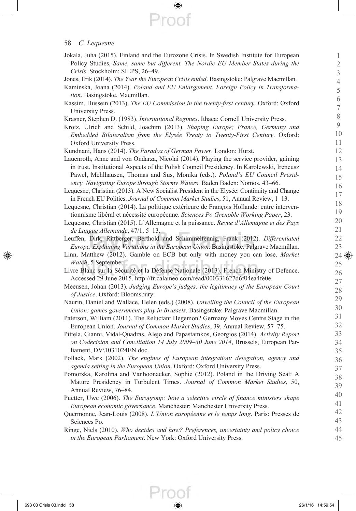Jokala, Juha (2015). Finland and the Eurozone Crisis. In Swedish Institute for European Policy Studies, *Same, same but different. The Nordic EU Member States during the Crisis*. Stockholm: SIEPS, 26–49.

 $\bigoplus$ 

Proof

- Jones, Erik (2014). *The Year the European Crisis ended*. Basingstoke: Palgrave Macmillan.
- Kaminska, Joana (2014)*. Poland and EU Enlargement. Foreign Policy in Transformation*. Basingstoke, Macmillan.
- Kassim, Hussein (2013). *The EU Commission in the twenty-first century*. Oxford: Oxford University Press.
- Krasner, Stephen D. (1983). *International Regimes*. Ithaca: Cornell University Press.
- Krotz, Ulrich and Schild, Joachim (2013). *Shaping Europe; France, Germany and Embedded Bilateralism from the Elysée Treaty to Twenty-First Century*. Oxford: Oxford University Press.
- Kundnani, Hans (2014). *The Paradox of German Power*. London: Hurst.
- Lauenroth, Anne and von Ondarza, Nicolai (2014). Playing the service provider, gaining in trust. Institutional Aspects of the Polish Council Presidency. In Karolewski, Ireneusz Pawel, Mehlhausen, Thomas and Sus, Monika (eds.). *Poland's EU Council Presidency. Navigating Europe through Stormy Waters*. Baden Baden: Nomos, 43–66.
- Lequesne, Christian (2013). A New Socialist President in the Elysée: Continuity and Change in French EU Politics. *Journal of Common Market Studies*, 51, Annual Review, 1–13.
- Lequesne, Christian (2014). La politique extérieure de François Hollande: entre interventionnisme libéral et nécessité européenne. *Sciences Po Grenoble Working Paper*, 23.
- Lequesne, Christian (2015). L'Allemagne et la puissance. *Revue d'Allemagne et des Pays de Langue Allemande*, 47/1, 5–13.
- Leuffen, Dirk, Rittberger, Berthold and Schimmelfennig, Frank (2012). *Differentiated Europe. Explaining Variations in the European Union*. Basingstoke: Palgrave Macmillan.
- Linn, Matthew (2012). Gamble on ECB but only with money you can lose. *Market Watch*, 5 September.
- Livre Blanc sur la Sécurité et la Défense Nationale (2013). French Ministry of Defence. Accessed 29 June 2015. http://fr.calameo.com/read/000331627d6f04ea4fe0e.
- Meeusen, Johan (2013). *Judging Europe's judges: the legitimacy of the European Court of Justice*. Oxford: Bloomsbury.
- Naurin, Daniel and Wallace, Helen (eds.) (2008). *Unveiling the Council of the European Union: games governments play in Brussels*. Basingstoke: Palgrave Macmillan.
- Paterson, William (2011). The Reluctant Hegemon? Germany Moves Centre Stage in the European Union. *Journal of Common Market Studies*, 39, Annual Review, 57–75.
- Pittela, Gianni, Vidal-Quadras, Alejo and Papastamkos, Georgios (2014). *Activity Report on Codecision and Conciliation 14 July 2009*–*30 June 2014*, Brussels, European Parliament, DV\1031024EN.doc.
- Pollack, Mark (2002). *The engines of European integration: delegation, agency and agenda setting in the European Union*. Oxford: Oxford University Press.
- Pomorska, Karolina and Vanhoonacker, Sophie (2012). Poland in the Driving Seat: A Mature Presidency in Turbulent Times. *Journal of Common Market Studies*, 50, Annual Review, 76–84.
- Puetter, Uwe (2006). *The Eurogroup: how a selective circle of finance ministers shape European economic governance*. Manchester: Manchester University Press.
- Quermonne, Jean-Louis (2008)*. L'Union européenne et le temps long*. Paris: Presses de Sciences Po.

'root

Ringe, Niels (2010). *Who decides and how? Preferences, uncertainty and policy choice in the European Parliament*. New York: Oxford University Press.

 $\langle \spadesuit \rangle$ 

23 24 $\bigoplus$